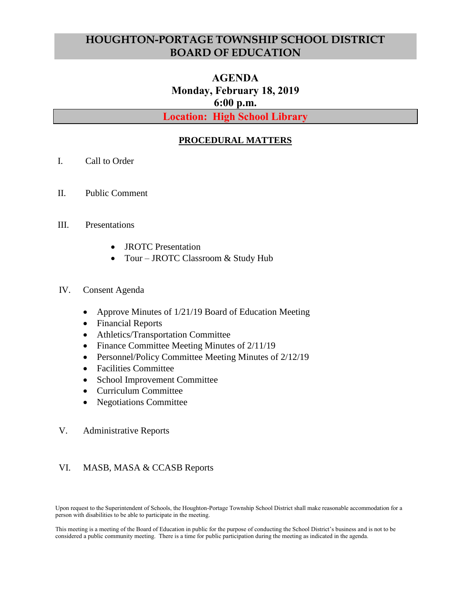## **HOUGHTON-PORTAGE TOWNSHIP SCHOOL DISTRICT BOARD OF EDUCATION**

# **AGENDA Monday, February 18, 2019 6:00 p.m.**

**Location: High School Library**

## **PROCEDURAL MATTERS**

- I. Call to Order
- II. Public Comment

#### III. Presentations

- JROTC Presentation
- Tour JROTC Classroom & Study Hub

#### IV. Consent Agenda

- Approve Minutes of 1/21/19 Board of Education Meeting
- Financial Reports
- Athletics/Transportation Committee
- Finance Committee Meeting Minutes of 2/11/19
- Personnel/Policy Committee Meeting Minutes of 2/12/19
- Facilities Committee
- School Improvement Committee
- Curriculum Committee
- Negotiations Committee

#### V. Administrative Reports

#### VI. MASB, MASA & CCASB Reports

Upon request to the Superintendent of Schools, the Houghton-Portage Township School District shall make reasonable accommodation for a person with disabilities to be able to participate in the meeting.

This meeting is a meeting of the Board of Education in public for the purpose of conducting the School District's business and is not to be considered a public community meeting. There is a time for public participation during the meeting as indicated in the agenda.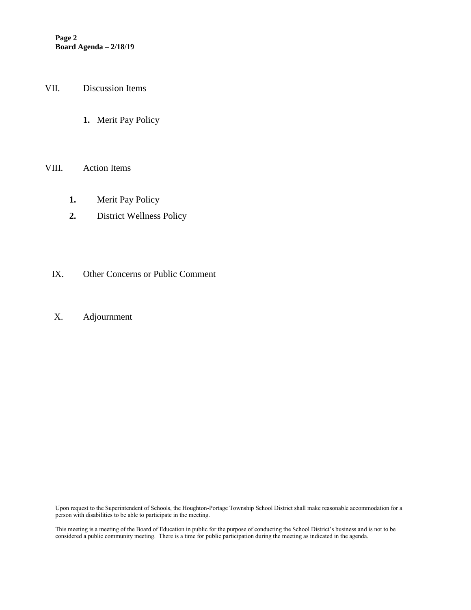- VII. Discussion Items
	- **1.** Merit Pay Policy

#### VIII. Action Items

- **1.** Merit Pay Policy
- **2.** District Wellness Policy
- IX. Other Concerns or Public Comment
- X. Adjournment

Upon request to the Superintendent of Schools, the Houghton-Portage Township School District shall make reasonable accommodation for a person with disabilities to be able to participate in the meeting.

This meeting is a meeting of the Board of Education in public for the purpose of conducting the School District's business and is not to be considered a public community meeting. There is a time for public participation during the meeting as indicated in the agenda.